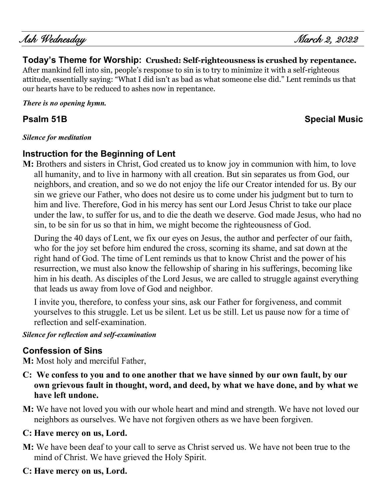Ash Wednesday March 2, 2022

## **Today's Theme for Worship: Crushed: Self-righteousness is crushed by repentance.**

After mankind fell into sin, people's response to sin is to try to minimize it with a self-righteous attitude, essentially saying: "What I did isn't as bad as what someone else did." Lent reminds us that our hearts have to be reduced to ashes now in repentance.

*There is no opening hymn.* 

# **Psalm 51B Special Music**

#### *Silence for meditation*

## **Instruction for the Beginning of Lent**

**M:** Brothers and sisters in Christ, God created us to know joy in communion with him, to love all humanity, and to live in harmony with all creation. But sin separates us from God, our neighbors, and creation, and so we do not enjoy the life our Creator intended for us. By our sin we grieve our Father, who does not desire us to come under his judgment but to turn to him and live. Therefore, God in his mercy has sent our Lord Jesus Christ to take our place under the law, to suffer for us, and to die the death we deserve. God made Jesus, who had no sin, to be sin for us so that in him, we might become the righteousness of God.

During the 40 days of Lent, we fix our eyes on Jesus, the author and perfecter of our faith, who for the joy set before him endured the cross, scorning its shame, and sat down at the right hand of God. The time of Lent reminds us that to know Christ and the power of his resurrection, we must also know the fellowship of sharing in his sufferings, becoming like him in his death. As disciples of the Lord Jesus, we are called to struggle against everything that leads us away from love of God and neighbor.

I invite you, therefore, to confess your sins, ask our Father for forgiveness, and commit yourselves to this struggle. Let us be silent. Let us be still. Let us pause now for a time of reflection and self-examination.

#### *Silence for reflection and self-examination*

## **Confession of Sins**

**M:** Most holy and merciful Father,

- **C: We confess to you and to one another that we have sinned by our own fault, by our own grievous fault in thought, word, and deed, by what we have done, and by what we have left undone.**
- **M:** We have not loved you with our whole heart and mind and strength. We have not loved our neighbors as ourselves. We have not forgiven others as we have been forgiven.

## **C: Have mercy on us, Lord.**

- **M:** We have been deaf to your call to serve as Christ served us. We have not been true to the mind of Christ. We have grieved the Holy Spirit.
- **C: Have mercy on us, Lord.**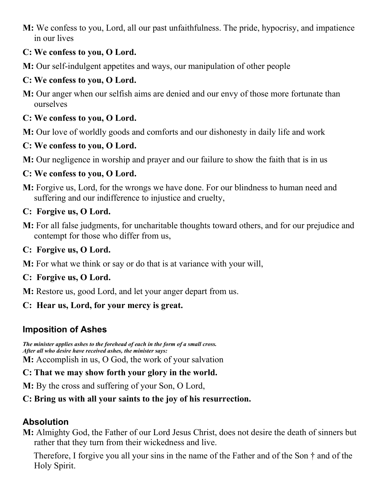**M:** We confess to you, Lord, all our past unfaithfulness. The pride, hypocrisy, and impatience in our lives

#### **C: We confess to you, O Lord.**

**M:** Our self-indulgent appetites and ways, our manipulation of other people

#### **C: We confess to you, O Lord.**

**M:** Our anger when our selfish aims are denied and our envy of those more fortunate than ourselves

#### **C: We confess to you, O Lord.**

**M:** Our love of worldly goods and comforts and our dishonesty in daily life and work

#### **C: We confess to you, O Lord.**

**M:** Our negligence in worship and prayer and our failure to show the faith that is in us

#### **C: We confess to you, O Lord.**

**M:** Forgive us, Lord, for the wrongs we have done. For our blindness to human need and suffering and our indifference to injustice and cruelty,

#### **C: Forgive us, O Lord.**

**M:** For all false judgments, for uncharitable thoughts toward others, and for our prejudice and contempt for those who differ from us,

#### **C: Forgive us, O Lord.**

**M:** For what we think or say or do that is at variance with your will,

#### **C: Forgive us, O Lord.**

**M:** Restore us, good Lord, and let your anger depart from us.

#### **C: Hear us, Lord, for your mercy is great.**

## **Imposition of Ashes**

*The minister applies ashes to the forehead of each in the form of a small cross. After all who desire have received ashes, the minister says:* **M:** Accomplish in us, O God, the work of your salvation

#### **C: That we may show forth your glory in the world.**

**M:** By the cross and suffering of your Son, O Lord,

#### **C: Bring us with all your saints to the joy of his resurrection.**

## **Absolution**

**M:** Almighty God, the Father of our Lord Jesus Christ, does not desire the death of sinners but rather that they turn from their wickedness and live.

Therefore, I forgive you all your sins in the name of the Father and of the Son † and of the Holy Spirit.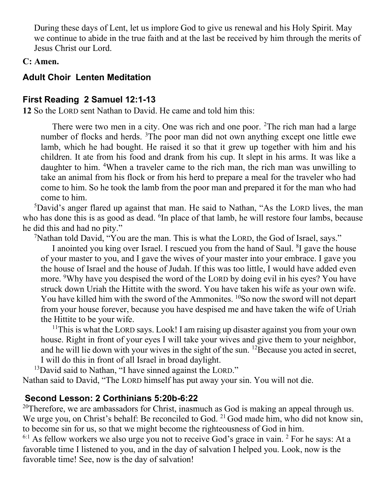During these days of Lent, let us implore God to give us renewal and his Holy Spirit. May we continue to abide in the true faith and at the last be received by him through the merits of Jesus Christ our Lord.

#### **C: Amen.**

## **Adult Choir Lenten Meditation**

## **First Reading 2 Samuel 12:1-13**

**12** So the LORD sent Nathan to David. He came and told him this:

There were two men in a city. One was rich and one poor. <sup>2</sup>The rich man had a large number of flocks and herds. <sup>3</sup>The poor man did not own anything except one little ewe lamb, which he had bought. He raised it so that it grew up together with him and his children. It ate from his food and drank from his cup. It slept in his arms. It was like a daughter to him. <sup>4</sup>When a traveler came to the rich man, the rich man was unwilling to take an animal from his flock or from his herd to prepare a meal for the traveler who had come to him. So he took the lamb from the poor man and prepared it for the man who had come to him.

<sup>5</sup>David's anger flared up against that man. He said to Nathan, "As the LORD lives, the man who has done this is as good as dead. <sup>6</sup>In place of that lamb, he will restore four lambs, because he did this and had no pity."

<sup>7</sup>Nathan told David, "You are the man. This is what the LORD, the God of Israel, says."

I anointed you king over Israel. I rescued you from the hand of Saul. <sup>8</sup>I gave the house of your master to you, and I gave the wives of your master into your embrace. I gave you the house of Israel and the house of Judah. If this was too little, I would have added even more. <sup>9</sup>Why have you despised the word of the LORD by doing evil in his eyes? You have struck down Uriah the Hittite with the sword. You have taken his wife as your own wife. You have killed him with the sword of the Ammonites. <sup>10</sup>So now the sword will not depart from your house forever, because you have despised me and have taken the wife of Uriah the Hittite to be your wife.

 $11$ This is what the LORD says. Look! I am raising up disaster against you from your own house. Right in front of your eyes I will take your wives and give them to your neighbor, and he will lie down with your wives in the sight of the sun.  $^{12}$ Because you acted in secret, I will do this in front of all Israel in broad daylight.

<sup>13</sup>David said to Nathan, "I have sinned against the LORD."

Nathan said to David, "The LORD himself has put away your sin. You will not die.

## **Second Lesson: 2 Corthinians 5:20b-6:22**

<sup>20</sup>Therefore, we are ambassadors for Christ, inasmuch as God is making an appeal through us. We urge you, on Christ's behalf: Be reconciled to God.  $^{21}$  God made him, who did not know sin, to become sin for us, so that we might become the righteousness of God in him.

 $6:1$  As fellow workers we also urge you not to receive God's grace in vain. <sup>2</sup> For he says: At a favorable time I listened to you, and in the day of salvation I helped you. Look, now is the favorable time! See, now is the day of salvation!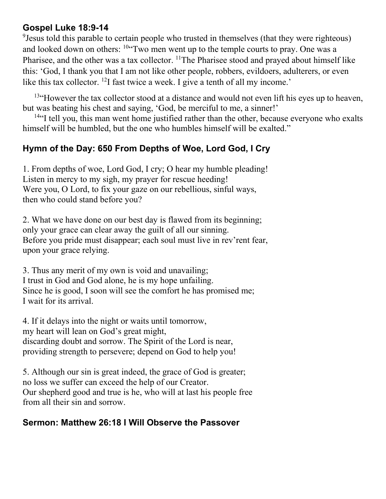## **Gospel Luke 18:9-14**

<sup>9</sup> Jesus told this parable to certain people who trusted in themselves (that they were righteous) and looked down on others: <sup>10"</sup>Two men went up to the temple courts to pray. One was a Pharisee, and the other was a tax collector. <sup>11</sup>The Pharisee stood and prayed about himself like this: 'God, I thank you that I am not like other people, robbers, evildoers, adulterers, or even like this tax collector. <sup>12</sup>I fast twice a week. I give a tenth of all my income.'

 $13$ "However the tax collector stood at a distance and would not even lift his eyes up to heaven, but was beating his chest and saying, 'God, be merciful to me, a sinner!'

 $14$ "I tell you, this man went home justified rather than the other, because everyone who exalts himself will be humbled, but the one who humbles himself will be exalted."

## **Hymn of the Day: 650 From Depths of Woe, Lord God, I Cry**

1. From depths of woe, Lord God, I cry; O hear my humble pleading! Listen in mercy to my sigh, my prayer for rescue heeding! Were you, O Lord, to fix your gaze on our rebellious, sinful ways, then who could stand before you?

2. What we have done on our best day is flawed from its beginning; only your grace can clear away the guilt of all our sinning. Before you pride must disappear; each soul must live in rev'rent fear, upon your grace relying.

3. Thus any merit of my own is void and unavailing; I trust in God and God alone, he is my hope unfailing. Since he is good, I soon will see the comfort he has promised me; I wait for its arrival.

4. If it delays into the night or waits until tomorrow, my heart will lean on God's great might, discarding doubt and sorrow. The Spirit of the Lord is near, providing strength to persevere; depend on God to help you!

5. Although our sin is great indeed, the grace of God is greater; no loss we suffer can exceed the help of our Creator. Our shepherd good and true is he, who will at last his people free from all their sin and sorrow.

## **Sermon: Matthew 26:18 I Will Observe the Passover**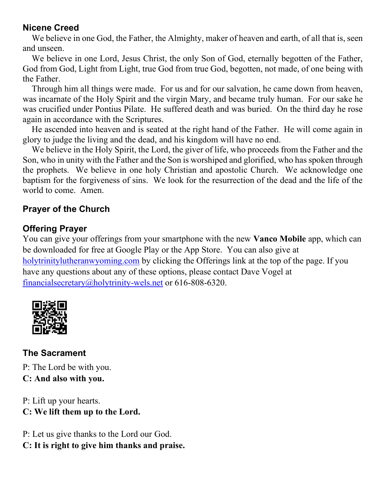#### **Nicene Creed**

We believe in one God, the Father, the Almighty, maker of heaven and earth, of all that is, seen and unseen.

We believe in one Lord, Jesus Christ, the only Son of God, eternally begotten of the Father, God from God, Light from Light, true God from true God, begotten, not made, of one being with the Father.

Through him all things were made. For us and for our salvation, he came down from heaven, was incarnate of the Holy Spirit and the virgin Mary, and became truly human. For our sake he was crucified under Pontius Pilate. He suffered death and was buried. On the third day he rose again in accordance with the Scriptures.

He ascended into heaven and is seated at the right hand of the Father. He will come again in glory to judge the living and the dead, and his kingdom will have no end.

We believe in the Holy Spirit, the Lord, the giver of life, who proceeds from the Father and the Son, who in unity with the Father and the Son is worshiped and glorified, who has spoken through the prophets. We believe in one holy Christian and apostolic Church. We acknowledge one baptism for the forgiveness of sins. We look for the resurrection of the dead and the life of the world to come. Amen.

## **Prayer of the Church**

## **Offering Prayer**

You can give your offerings from your smartphone with the new **Vanco Mobile** app, which can be downloaded for free at Google Play or the App Store. You can also give at [holytrinitylutheranwyoming.com](http://holytrinitylutheranwyoming.com/) by clicking the Offerings link at the top of the page. If you have any questions about any of these options, please contact Dave Vogel at [financialsecretary@holytrinity-wels.net](mailto:financialsecretary@holytrinity-wels.net) or 616-808-6320.



**The Sacrament** P: The Lord be with you. **C: And also with you.**

P: Lift up your hearts. **C: We lift them up to the Lord.**

P: Let us give thanks to the Lord our God. **C: It is right to give him thanks and praise.**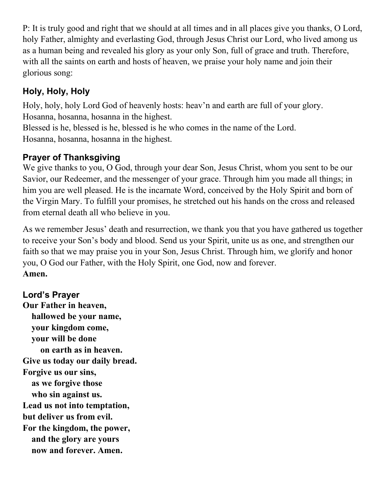P: It is truly good and right that we should at all times and in all places give you thanks, O Lord, holy Father, almighty and everlasting God, through Jesus Christ our Lord, who lived among us as a human being and revealed his glory as your only Son, full of grace and truth. Therefore, with all the saints on earth and hosts of heaven, we praise your holy name and join their glorious song:

# **Holy, Holy, Holy**

Holy, holy, holy Lord God of heavenly hosts: heav'n and earth are full of your glory. Hosanna, hosanna, hosanna in the highest.

Blessed is he, blessed is he, blessed is he who comes in the name of the Lord. Hosanna, hosanna, hosanna in the highest.

# **Prayer of Thanksgiving**

We give thanks to you, O God, through your dear Son, Jesus Christ, whom you sent to be our Savior, our Redeemer, and the messenger of your grace. Through him you made all things; in him you are well pleased. He is the incarnate Word, conceived by the Holy Spirit and born of the Virgin Mary. To fulfill your promises, he stretched out his hands on the cross and released from eternal death all who believe in you.

As we remember Jesus' death and resurrection, we thank you that you have gathered us together to receive your Son's body and blood. Send us your Spirit, unite us as one, and strengthen our faith so that we may praise you in your Son, Jesus Christ. Through him, we glorify and honor you, O God our Father, with the Holy Spirit, one God, now and forever. **Amen.**

# **Lord's Prayer**

**Our Father in heaven, hallowed be your name, your kingdom come, your will be done on earth as in heaven. Give us today our daily bread. Forgive us our sins, as we forgive those who sin against us. Lead us not into temptation, but deliver us from evil. For the kingdom, the power, and the glory are yours now and forever. Amen.**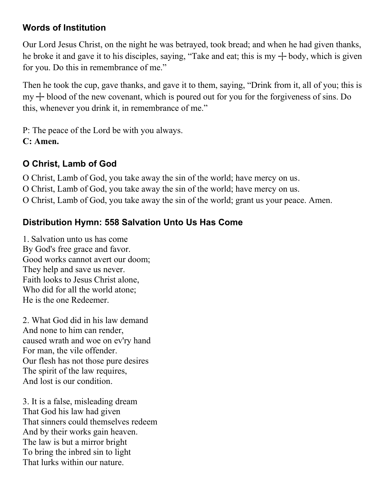## **Words of Institution**

Our Lord Jesus Christ, on the night he was betrayed, took bread; and when he had given thanks, he broke it and gave it to his disciples, saying, "Take and eat; this is my  $+$  body, which is given for you. Do this in remembrance of me."

Then he took the cup, gave thanks, and gave it to them, saying, "Drink from it, all of you; this is  $my + blood$  of the new covenant, which is poured out for you for the forgiveness of sins. Do this, whenever you drink it, in remembrance of me."

P: The peace of the Lord be with you always. **C: Amen.**

# **O Christ, Lamb of God**

O Christ, Lamb of God, you take away the sin of the world; have mercy on us. O Christ, Lamb of God, you take away the sin of the world; have mercy on us. O Christ, Lamb of God, you take away the sin of the world; grant us your peace. Amen.

# **Distribution Hymn: 558 Salvation Unto Us Has Come**

1. Salvation unto us has come By God's free grace and favor. Good works cannot avert our doom; They help and save us never. Faith looks to Jesus Christ alone, Who did for all the world atone; He is the one Redeemer.

2. What God did in his law demand And none to him can render, caused wrath and woe on ev'ry hand For man, the vile offender. Our flesh has not those pure desires The spirit of the law requires, And lost is our condition.

3. It is a false, misleading dream That God his law had given That sinners could themselves redeem And by their works gain heaven. The law is but a mirror bright To bring the inbred sin to light That lurks within our nature.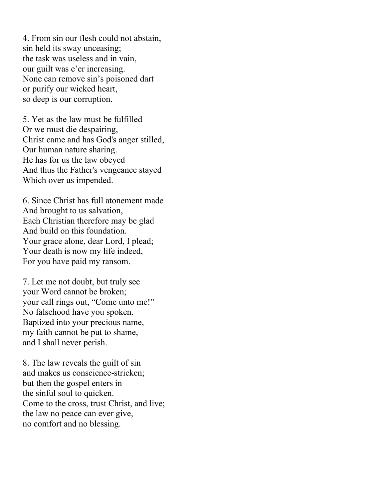4. From sin our flesh could not abstain, sin held its sway unceasing; the task was useless and in vain, our guilt was e'er increasing. None can remove sin's poisoned dart or purify our wicked heart, so deep is our corruption.

5. Yet as the law must be fulfilled Or we must die despairing, Christ came and has God's anger stilled, Our human nature sharing. He has for us the law obeyed And thus the Father's vengeance stayed Which over us impended.

6. Since Christ has full atonement made And brought to us salvation, Each Christian therefore may be glad And build on this foundation. Your grace alone, dear Lord, I plead; Your death is now my life indeed, For you have paid my ransom.

7. Let me not doubt, but truly see your Word cannot be broken; your call rings out, "Come unto me!" No falsehood have you spoken. Baptized into your precious name, my faith cannot be put to shame, and I shall never perish.

8. The law reveals the guilt of sin and makes us conscience-stricken; but then the gospel enters in the sinful soul to quicken. Come to the cross, trust Christ, and live; the law no peace can ever give, no comfort and no blessing.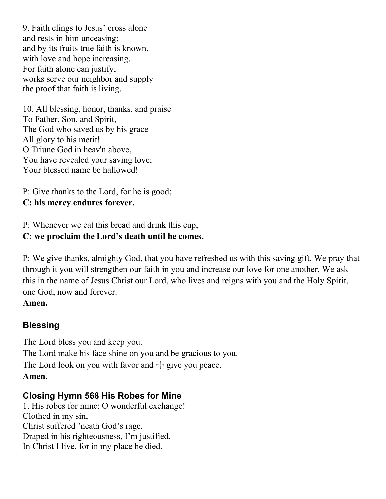9. Faith clings to Jesus' cross alone and rests in him unceasing; and by its fruits true faith is known, with love and hope increasing. For faith alone can justify; works serve our neighbor and supply the proof that faith is living.

10. All blessing, honor, thanks, and praise To Father, Son, and Spirit, The God who saved us by his grace All glory to his merit! O Triune God in heav'n above, You have revealed your saving love; Your blessed name be hallowed!

P: Give thanks to the Lord, for he is good;

#### **C: his mercy endures forever.**

P: Whenever we eat this bread and drink this cup, **C: we proclaim the Lord's death until he comes.**

P: We give thanks, almighty God, that you have refreshed us with this saving gift. We pray that through it you will strengthen our faith in you and increase our love for one another. We ask this in the name of Jesus Christ our Lord, who lives and reigns with you and the Holy Spirit, one God, now and forever.

**Amen.**

## **Blessing**

The Lord bless you and keep you. The Lord make his face shine on you and be gracious to you. The Lord look on you with favor and  $+$  give you peace. **Amen.**

## **Closing Hymn 568 His Robes for Mine**

1. His robes for mine: O wonderful exchange! Clothed in my sin, Christ suffered 'neath God's rage. Draped in his righteousness, I'm justified. In Christ I live, for in my place he died.